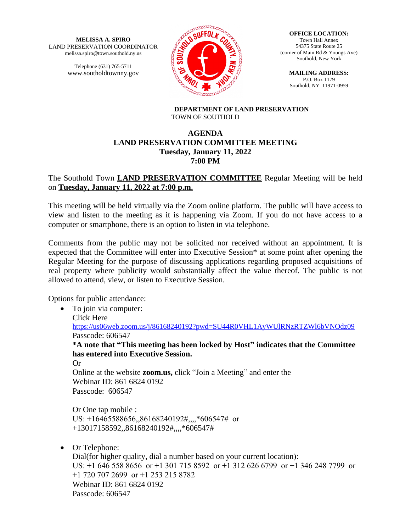**MELISSA A. SPIRO** LAND PRESERVATION COORDINATOR melissa.spiro@town.southold.ny.us

> Telephone (631) 765-5711 www.southoldtownny.gov



**OFFICE LOCATION:** Town Hall Annex 54375 State Route 25 (corner of Main Rd & Youngs Ave) Southold, New York

**MAILING ADDRESS:** P.O. Box 1179 Southold, NY 11971-0959

**DEPARTMENT OF LAND PRESERVATION** TOWN OF SOUTHOLD

## **AGENDA LAND PRESERVATION COMMITTEE MEETING Tuesday, January 11, 2022 7:00 PM**

# The Southold Town **LAND PRESERVATION COMMITTEE** Regular Meeting will be held on **Tuesday, January 11, 2022 at 7:00 p.m.**

This meeting will be held virtually via the Zoom online platform. The public will have access to view and listen to the meeting as it is happening via Zoom. If you do not have access to a computer or smartphone, there is an option to listen in via telephone.

Comments from the public may not be solicited nor received without an appointment. It is expected that the Committee will enter into Executive Session\* at some point after opening the Regular Meeting for the purpose of discussing applications regarding proposed acquisitions of real property where publicity would substantially affect the value thereof. The public is not allowed to attend, view, or listen to Executive Session.

Options for public attendance:

• To join via computer: Click Here <https://us06web.zoom.us/j/86168240192?pwd=SU44R0VHL1AyWUlRNzRTZWl6bVNOdz09> Passcode: 606547 **\*A note that "This meeting has been locked by Host" indicates that the Committee has entered into Executive Session.** Or Online at the website **zoom.us,** click "Join a Meeting" and enter the Webinar ID: 861 6824 0192 Passcode: 606547 Or One tap mobile :

US: +16465588656,,86168240192#,,,,\*606547# or +13017158592,,86168240192#,,,,\*606547#

• Or Telephone:

 Dial(for higher quality, dial a number based on your current location): US: +1 646 558 8656 or +1 301 715 8592 or +1 312 626 6799 or +1 346 248 7799 or +1 720 707 2699 or +1 253 215 8782 Webinar ID: 861 6824 0192 Passcode: 606547